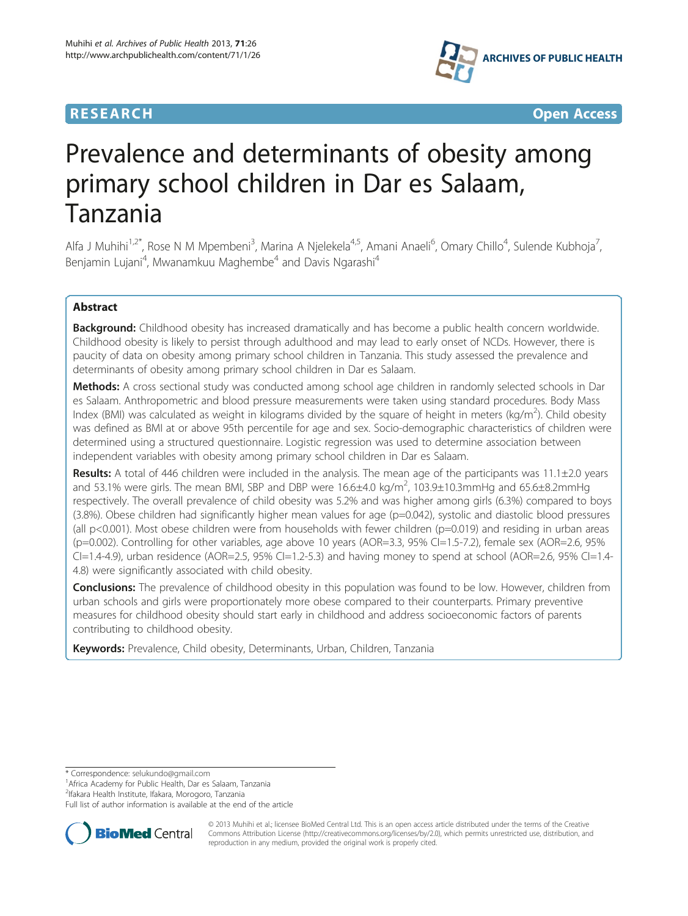## **RESEARCH CHILD CONTROL** CONTROL CONTROL CONTROL CONTROL CONTROL CONTROL CONTROL CONTROL CONTROL CONTROL CONTROL CONTROL CONTROL CONTROL CONTROL CONTROL CONTROL CONTROL CONTROL CONTROL CONTROL CONTROL CONTROL CONTROL CONTR



# Prevalence and determinants of obesity among primary school children in Dar es Salaam, Tanzania

Alfa J Muhihi<sup>1,2\*</sup>, Rose N M Mpembeni<sup>3</sup>, Marina A Njelekela<sup>4,5</sup>, Amani Anaeli<sup>6</sup>, Omary Chillo<sup>4</sup>, Sulende Kubhoja<sup>7</sup> , Benjamin Lujani<sup>4</sup>, Mwanamkuu Maghembe<sup>4</sup> and Davis Ngarashi<sup>4</sup>

## Abstract

Background: Childhood obesity has increased dramatically and has become a public health concern worldwide. Childhood obesity is likely to persist through adulthood and may lead to early onset of NCDs. However, there is paucity of data on obesity among primary school children in Tanzania. This study assessed the prevalence and determinants of obesity among primary school children in Dar es Salaam.

Methods: A cross sectional study was conducted among school age children in randomly selected schools in Dar es Salaam. Anthropometric and blood pressure measurements were taken using standard procedures. Body Mass Index (BMI) was calculated as weight in kilograms divided by the square of height in meters (kg/m<sup>2</sup>). Child obesity was defined as BMI at or above 95th percentile for age and sex. Socio-demographic characteristics of children were determined using a structured questionnaire. Logistic regression was used to determine association between independent variables with obesity among primary school children in Dar es Salaam.

Results: A total of 446 children were included in the analysis. The mean age of the participants was 11.1±2.0 years and 53.1% were girls. The mean BMI, SBP and DBP were  $16.6\pm4.0$  kg/m<sup>2</sup>, 103.9 $\pm$ 10.3mmHg and 65.6 $\pm$ 8.2mmHg respectively. The overall prevalence of child obesity was 5.2% and was higher among girls (6.3%) compared to boys (3.8%). Obese children had significantly higher mean values for age (p=0.042), systolic and diastolic blood pressures (all p<0.001). Most obese children were from households with fewer children (p=0.019) and residing in urban areas (p=0.002). Controlling for other variables, age above 10 years (AOR=3.3, 95% CI=1.5-7.2), female sex (AOR=2.6, 95%  $Cl=1.4-4.9$ ), urban residence (AOR=2.5, 95% CI=1.2-5.3) and having money to spend at school (AOR=2.6, 95% CI=1.4-4.8) were significantly associated with child obesity.

**Conclusions:** The prevalence of childhood obesity in this population was found to be low. However, children from urban schools and girls were proportionately more obese compared to their counterparts. Primary preventive measures for childhood obesity should start early in childhood and address socioeconomic factors of parents contributing to childhood obesity.

Keywords: Prevalence, Child obesity, Determinants, Urban, Children, Tanzania

<sup>1</sup> Africa Academy for Public Health, Dar es Salaam, Tanzania

2 Ifakara Health Institute, Ifakara, Morogoro, Tanzania

Full list of author information is available at the end of the article



© 2013 Muhihi et al.; licensee BioMed Central Ltd. This is an open access article distributed under the terms of the Creative Commons Attribution License [\(http://creativecommons.org/licenses/by/2.0\)](http://creativecommons.org/licenses/by/2.0), which permits unrestricted use, distribution, and reproduction in any medium, provided the original work is properly cited.

<sup>\*</sup> Correspondence: [selukundo@gmail.com](mailto:selukundo@gmail.com) <sup>1</sup>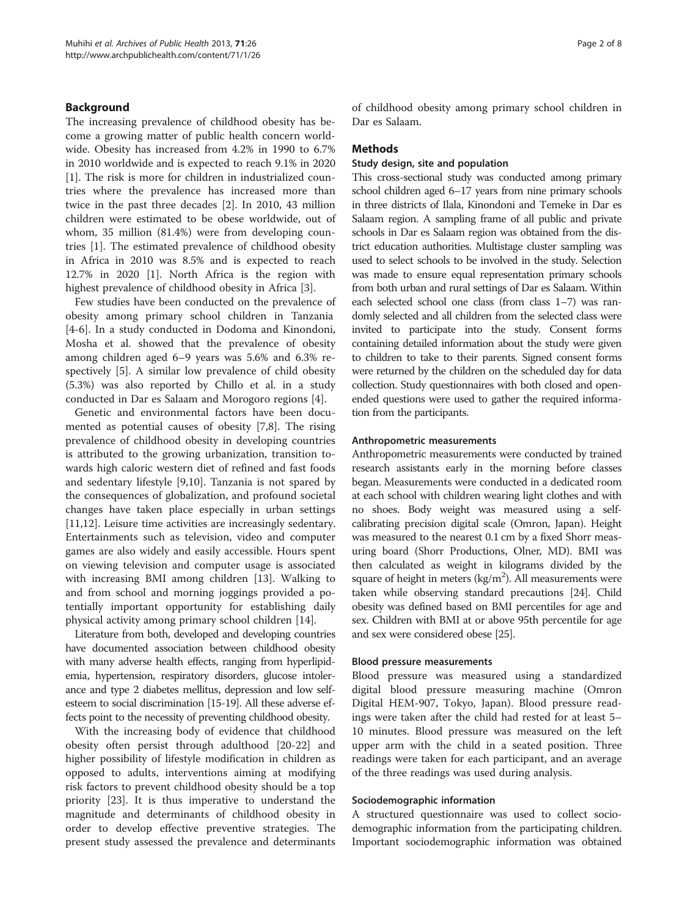## Background

The increasing prevalence of childhood obesity has become a growing matter of public health concern worldwide. Obesity has increased from 4.2% in 1990 to 6.7% in 2010 worldwide and is expected to reach 9.1% in 2020 [[1\]](#page-7-0). The risk is more for children in industrialized countries where the prevalence has increased more than twice in the past three decades [\[2](#page-7-0)]. In 2010, 43 million children were estimated to be obese worldwide, out of whom, 35 million (81.4%) were from developing countries [\[1](#page-7-0)]. The estimated prevalence of childhood obesity in Africa in 2010 was 8.5% and is expected to reach 12.7% in 2020 [\[1\]](#page-7-0). North Africa is the region with highest prevalence of childhood obesity in Africa [\[3](#page-7-0)].

Few studies have been conducted on the prevalence of obesity among primary school children in Tanzania [[4-6](#page-7-0)]. In a study conducted in Dodoma and Kinondoni, Mosha et al. showed that the prevalence of obesity among children aged 6–9 years was 5.6% and 6.3% respectively [\[5](#page-7-0)]. A similar low prevalence of child obesity (5.3%) was also reported by Chillo et al. in a study conducted in Dar es Salaam and Morogoro regions [[4\]](#page-7-0).

Genetic and environmental factors have been documented as potential causes of obesity [\[7,8](#page-7-0)]. The rising prevalence of childhood obesity in developing countries is attributed to the growing urbanization, transition towards high caloric western diet of refined and fast foods and sedentary lifestyle [\[9,10\]](#page-7-0). Tanzania is not spared by the consequences of globalization, and profound societal changes have taken place especially in urban settings [[11,12\]](#page-7-0). Leisure time activities are increasingly sedentary. Entertainments such as television, video and computer games are also widely and easily accessible. Hours spent on viewing television and computer usage is associated with increasing BMI among children [[13\]](#page-7-0). Walking to and from school and morning joggings provided a potentially important opportunity for establishing daily physical activity among primary school children [\[14\]](#page-7-0).

Literature from both, developed and developing countries have documented association between childhood obesity with many adverse health effects, ranging from hyperlipidemia, hypertension, respiratory disorders, glucose intolerance and type 2 diabetes mellitus, depression and low selfesteem to social discrimination [\[15-19](#page-7-0)]. All these adverse effects point to the necessity of preventing childhood obesity.

With the increasing body of evidence that childhood obesity often persist through adulthood [[20-22\]](#page-7-0) and higher possibility of lifestyle modification in children as opposed to adults, interventions aiming at modifying risk factors to prevent childhood obesity should be a top priority [[23\]](#page-7-0). It is thus imperative to understand the magnitude and determinants of childhood obesity in order to develop effective preventive strategies. The present study assessed the prevalence and determinants of childhood obesity among primary school children in Dar es Salaam.

#### **Methods**

#### Study design, site and population

This cross-sectional study was conducted among primary school children aged 6–17 years from nine primary schools in three districts of Ilala, Kinondoni and Temeke in Dar es Salaam region. A sampling frame of all public and private schools in Dar es Salaam region was obtained from the district education authorities. Multistage cluster sampling was used to select schools to be involved in the study. Selection was made to ensure equal representation primary schools from both urban and rural settings of Dar es Salaam. Within each selected school one class (from class 1–7) was randomly selected and all children from the selected class were invited to participate into the study. Consent forms containing detailed information about the study were given to children to take to their parents. Signed consent forms were returned by the children on the scheduled day for data collection. Study questionnaires with both closed and openended questions were used to gather the required information from the participants.

#### Anthropometric measurements

Anthropometric measurements were conducted by trained research assistants early in the morning before classes began. Measurements were conducted in a dedicated room at each school with children wearing light clothes and with no shoes. Body weight was measured using a selfcalibrating precision digital scale (Omron, Japan). Height was measured to the nearest 0.1 cm by a fixed Shorr measuring board (Shorr Productions, Olner, MD). BMI was then calculated as weight in kilograms divided by the square of height in meters ( $\text{kg/m}^2$ ). All measurements were taken while observing standard precautions [[24](#page-7-0)]. Child obesity was defined based on BMI percentiles for age and sex. Children with BMI at or above 95th percentile for age and sex were considered obese [[25](#page-7-0)].

#### Blood pressure measurements

Blood pressure was measured using a standardized digital blood pressure measuring machine (Omron Digital HEM-907, Tokyo, Japan). Blood pressure readings were taken after the child had rested for at least 5– 10 minutes. Blood pressure was measured on the left upper arm with the child in a seated position. Three readings were taken for each participant, and an average of the three readings was used during analysis.

#### Sociodemographic information

A structured questionnaire was used to collect sociodemographic information from the participating children. Important sociodemographic information was obtained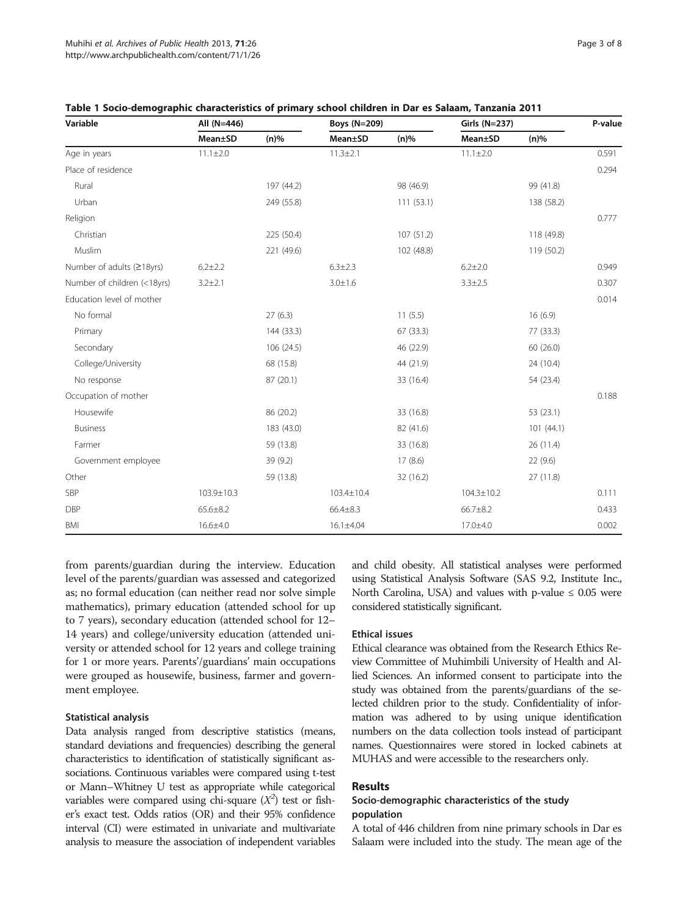| Variable                    | All (N=446)    |            | <b>Boys (N=209)</b> |            | <b>Girls (N=237)</b> |            | P-value |
|-----------------------------|----------------|------------|---------------------|------------|----------------------|------------|---------|
|                             | Mean±SD        | $(n)\%$    | Mean±SD             | $(n)\%$    | Mean±SD              | $(n)\%$    |         |
| Age in years                | $11.1 \pm 2.0$ |            | $11.3 \pm 2.1$      |            | $11.1 \pm 2.0$       |            | 0.591   |
| Place of residence          |                |            |                     |            |                      |            | 0.294   |
| Rural                       |                | 197 (44.2) |                     | 98 (46.9)  |                      | 99 (41.8)  |         |
| Urban                       |                | 249 (55.8) |                     | 111(53.1)  |                      | 138 (58.2) |         |
| Religion                    |                |            |                     |            |                      |            | 0.777   |
| Christian                   |                | 225 (50.4) |                     | 107(51.2)  |                      | 118 (49.8) |         |
| Muslim                      |                | 221 (49.6) |                     | 102 (48.8) |                      | 119 (50.2) |         |
| Number of adults (≥18yrs)   | $6.2 \pm 2.2$  |            | $6.3 \pm 2.3$       |            | $6.2 + 2.0$          |            | 0.949   |
| Number of children (<18yrs) | $3.2 \pm 2.1$  |            | $3.0 + 1.6$         |            | $3.3 \pm 2.5$        |            | 0.307   |
| Education level of mother   |                |            |                     |            |                      |            | 0.014   |
| No formal                   |                | 27(6.3)    |                     | 11(5.5)    |                      | 16(6.9)    |         |
| Primary                     |                | 144 (33.3) |                     | 67 (33.3)  |                      | 77 (33.3)  |         |
| Secondary                   |                | 106 (24.5) |                     | 46 (22.9)  |                      | 60 (26.0)  |         |
| College/University          |                | 68 (15.8)  |                     | 44 (21.9)  |                      | 24 (10.4)  |         |
| No response                 |                | 87 (20.1)  |                     | 33 (16.4)  |                      | 54 (23.4)  |         |
| Occupation of mother        |                |            |                     |            |                      |            | 0.188   |
| Housewife                   |                | 86 (20.2)  |                     | 33 (16.8)  |                      | 53(23.1)   |         |
| <b>Business</b>             |                | 183 (43.0) |                     | 82 (41.6)  |                      | 101(44.1)  |         |
| Farmer                      |                | 59 (13.8)  |                     | 33 (16.8)  |                      | 26 (11.4)  |         |
| Government employee         |                | 39 (9.2)   |                     | 17(8.6)    |                      | 22(9.6)    |         |
| Other                       |                | 59 (13.8)  |                     | 32 (16.2)  |                      | 27 (11.8)  |         |
| SBP                         | 103.9±10.3     |            | 103.4±10.4          |            | $104.3 \pm 10.2$     |            | 0.111   |
| <b>DBP</b>                  | $65.6 \pm 8.2$ |            | $66.4 \pm 8.3$      |            | $66.7 \pm 8.2$       |            | 0.433   |
| <b>BMI</b>                  | $16.6{\pm}4.0$ |            | 16.1±4.04           |            | 17.0±4.0             |            | 0.002   |

<span id="page-2-0"></span>

|  | Table 1 Socio-demographic characteristics of primary school children in Dar es Salaam, Tanzania 2011 |
|--|------------------------------------------------------------------------------------------------------|
|--|------------------------------------------------------------------------------------------------------|

from parents/guardian during the interview. Education level of the parents/guardian was assessed and categorized as; no formal education (can neither read nor solve simple mathematics), primary education (attended school for up to 7 years), secondary education (attended school for 12– 14 years) and college/university education (attended university or attended school for 12 years and college training for 1 or more years. Parents'/guardians' main occupations were grouped as housewife, business, farmer and government employee.

## Statistical analysis

Data analysis ranged from descriptive statistics (means, standard deviations and frequencies) describing the general characteristics to identification of statistically significant associations. Continuous variables were compared using t-test or Mann–Whitney U test as appropriate while categorical variables were compared using chi-square  $(X^2)$  test or fisher's exact test. Odds ratios (OR) and their 95% confidence interval (CI) were estimated in univariate and multivariate analysis to measure the association of independent variables and child obesity. All statistical analyses were performed using Statistical Analysis Software (SAS 9.2, Institute Inc., North Carolina, USA) and values with p-value  $\leq 0.05$  were considered statistically significant.

## Ethical issues

Ethical clearance was obtained from the Research Ethics Review Committee of Muhimbili University of Health and Allied Sciences. An informed consent to participate into the study was obtained from the parents/guardians of the selected children prior to the study. Confidentiality of information was adhered to by using unique identification numbers on the data collection tools instead of participant names. Questionnaires were stored in locked cabinets at MUHAS and were accessible to the researchers only.

## Results

## Socio-demographic characteristics of the study population

A total of 446 children from nine primary schools in Dar es Salaam were included into the study. The mean age of the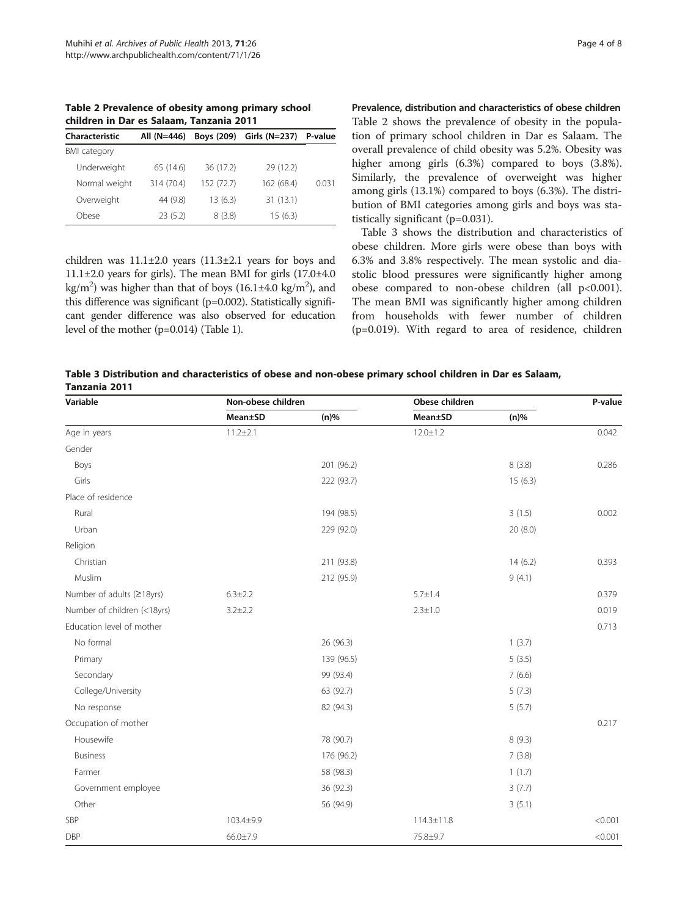Table 2 Prevalence of obesity among primary school children in Dar es Salaam, Tanzania 2011

| Characteristic      | All (N=446) | Boys (209) | Girls (N=237) | P-value |
|---------------------|-------------|------------|---------------|---------|
| <b>BMI</b> category |             |            |               |         |
| Underweight         | 65 (14.6)   | 36 (17.2)  | 29 (12.2)     |         |
| Normal weight       | 314 (70.4)  | 152 (72.7) | 162 (68.4)    | 0.031   |
| Overweight          | 44 (9.8)    | 13(6.3)    | 31(13.1)      |         |
| Obese               | 23(5.2)     | 8(3.8)     | 15(6.3)       |         |

children was  $11.1\pm2.0$  years  $(11.3\pm2.1$  years for boys and  $11.1\pm2.0$  years for girls). The mean BMI for girls  $(17.0\pm4.0)$ kg/m<sup>2</sup>) was higher than that of boys (16.1±4.0 kg/m<sup>2</sup>), and this difference was significant (p=0.002). Statistically significant gender difference was also observed for education level of the mother (p=0.014) (Table [1](#page-2-0)).

Prevalence, distribution and characteristics of obese children Table 2 shows the prevalence of obesity in the population of primary school children in Dar es Salaam. The overall prevalence of child obesity was 5.2%. Obesity was higher among girls (6.3%) compared to boys (3.8%). Similarly, the prevalence of overweight was higher among girls (13.1%) compared to boys (6.3%). The distribution of BMI categories among girls and boys was statistically significant (p=0.031).

Table 3 shows the distribution and characteristics of obese children. More girls were obese than boys with 6.3% and 3.8% respectively. The mean systolic and diastolic blood pressures were significantly higher among obese compared to non-obese children (all  $p<0.001$ ). The mean BMI was significantly higher among children from households with fewer number of children (p=0.019). With regard to area of residence, children

| Table 3 Distribution and characteristics of obese and non-obese primary school children in Dar es Salaam, |  |
|-----------------------------------------------------------------------------------------------------------|--|
| Tanzania 2011                                                                                             |  |

| Variable                    | Non-obese children |            | Obese children   |         | P-value |
|-----------------------------|--------------------|------------|------------------|---------|---------|
|                             | Mean±SD            | $(n)\%$    | Mean±SD          | $(n)\%$ |         |
| Age in years                | $11.2 \pm 2.1$     |            | $12.0 \pm 1.2$   |         | 0.042   |
| Gender                      |                    |            |                  |         |         |
| Boys                        |                    | 201 (96.2) |                  | 8(3.8)  | 0.286   |
| Girls                       |                    | 222 (93.7) |                  | 15(6.3) |         |
| Place of residence          |                    |            |                  |         |         |
| Rural                       |                    | 194 (98.5) |                  | 3(1.5)  | 0.002   |
| Urban                       |                    | 229 (92.0) |                  | 20(8.0) |         |
| Religion                    |                    |            |                  |         |         |
| Christian                   |                    | 211 (93.8) |                  | 14(6.2) | 0.393   |
| Muslim                      |                    | 212 (95.9) |                  | 9(4.1)  |         |
| Number of adults (≥18yrs)   | $6.3 \pm 2.2$      |            | $5.7 \pm 1.4$    |         | 0.379   |
| Number of children (<18yrs) | $3.2 \pm 2.2$      |            | $2.3 \pm 1.0$    |         | 0.019   |
| Education level of mother   |                    |            |                  |         | 0.713   |
| No formal                   |                    | 26 (96.3)  |                  | 1(3.7)  |         |
| Primary                     |                    | 139 (96.5) |                  | 5(3.5)  |         |
| Secondary                   |                    | 99 (93.4)  |                  | 7(6.6)  |         |
| College/University          |                    | 63 (92.7)  |                  | 5(7.3)  |         |
| No response                 |                    | 82 (94.3)  |                  | 5(5.7)  |         |
| Occupation of mother        |                    |            |                  |         | 0.217   |
| Housewife                   |                    | 78 (90.7)  |                  | 8(9.3)  |         |
| <b>Business</b>             |                    | 176 (96.2) |                  | 7(3.8)  |         |
| Farmer                      |                    | 58 (98.3)  |                  | 1(1.7)  |         |
| Government employee         |                    | 36 (92.3)  |                  | 3(7.7)  |         |
| Other                       |                    | 56 (94.9)  |                  | 3(5.1)  |         |
| SBP                         | 103.4±9.9          |            | $114.3 \pm 11.8$ |         | < 0.001 |
| <b>DBP</b>                  | $66.0 \pm 7.9$     |            | 75.8±9.7         |         | < 0.001 |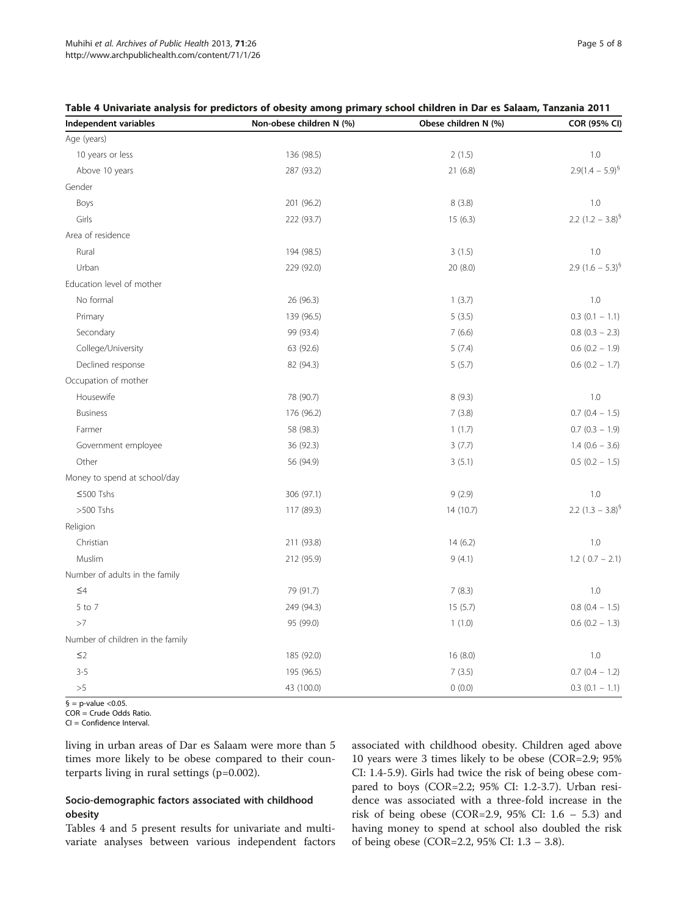| Independent variables            | Non-obese children N (%) | Obese children N (%) | COR (95% CI)          |
|----------------------------------|--------------------------|----------------------|-----------------------|
| Age (years)                      |                          |                      |                       |
| 10 years or less                 | 136 (98.5)               | 2(1.5)               | 1.0                   |
| Above 10 years                   | 287 (93.2)               | 21(6.8)              | $2.9(1.4 - 5.9)^{6}$  |
| Gender                           |                          |                      |                       |
| Boys                             | 201 (96.2)               | 8(3.8)               | 1.0                   |
| Girls                            | 222 (93.7)               | 15(6.3)              | 2.2 $(1.2 - 3.8)^{9}$ |
| Area of residence                |                          |                      |                       |
| Rural                            | 194 (98.5)               | 3(1.5)               | 1.0                   |
| Urban                            | 229 (92.0)               | 20(8.0)              | 2.9 $(1.6 - 5.3)^{9}$ |
| Education level of mother        |                          |                      |                       |
| No formal                        | 26 (96.3)                | 1(3.7)               | 1.0                   |
| Primary                          | 139 (96.5)               | 5(3.5)               | $0.3$ (0.1 - 1.1)     |
| Secondary                        | 99 (93.4)                | 7(6.6)               | $0.8$ (0.3 - 2.3)     |
| College/University               | 63 (92.6)                | 5(7.4)               | $0.6$ (0.2 - 1.9)     |
| Declined response                | 82 (94.3)                | 5(5.7)               | $0.6$ (0.2 - 1.7)     |
| Occupation of mother             |                          |                      |                       |
| Housewife                        | 78 (90.7)                | 8(9.3)               | 1.0                   |
| <b>Business</b>                  | 176 (96.2)               | 7(3.8)               | $0.7$ (0.4 - 1.5)     |
| Farmer                           | 58 (98.3)                | 1(1.7)               | $0.7$ (0.3 - 1.9)     |
| Government employee              | 36 (92.3)                | 3(7.7)               | $1.4(0.6 - 3.6)$      |
| Other                            | 56 (94.9)                | 3(5.1)               | $0.5$ (0.2 - 1.5)     |
| Money to spend at school/day     |                          |                      |                       |
| ≤500 Tshs                        | 306 (97.1)               | 9(2.9)               | 1.0                   |
| >500 Tshs                        | 117 (89.3)               | 14 (10.7)            | 2.2 $(1.3 - 3.8)^{9}$ |
| Religion                         |                          |                      |                       |
| Christian                        | 211 (93.8)               | 14(6.2)              | 1.0                   |
| Muslim                           | 212 (95.9)               | 9(4.1)               | $1.2(0.7 - 2.1)$      |
| Number of adults in the family   |                          |                      |                       |
| $\leq 4$                         | 79 (91.7)                | 7(8.3)               | 1.0                   |
| 5 to 7                           | 249 (94.3)               | 15(5.7)              | $0.8$ (0.4 - 1.5)     |
| >7                               | 95 (99.0)                | 1(1.0)               | $0.6$ (0.2 - 1.3)     |
| Number of children in the family |                          |                      |                       |
| $\leq$ 2                         | 185 (92.0)               | 16(8.0)              | 1.0                   |
| $3 - 5$                          | 195 (96.5)               | 7(3.5)               | $0.7$ (0.4 - 1.2)     |
| >5                               | 43 (100.0)               | 0(0.0)               | $0.3$ (0.1 - 1.1)     |

#### Table 4 Univariate analysis for predictors of obesity among primary school children in Dar es Salaam, Tanzania 2011

 $\overline{\$}$  = p-value <0.05.

COR = Crude Odds Ratio.

CI = Confidence Interval.

living in urban areas of Dar es Salaam were more than 5 times more likely to be obese compared to their counterparts living in rural settings (p=0.002).

## Socio-demographic factors associated with childhood obesity

Tables 4 and [5](#page-5-0) present results for univariate and multivariate analyses between various independent factors associated with childhood obesity. Children aged above 10 years were 3 times likely to be obese (COR=2.9; 95% CI: 1.4-5.9). Girls had twice the risk of being obese compared to boys (COR=2.2; 95% CI: 1.2-3.7). Urban residence was associated with a three-fold increase in the risk of being obese (COR=2.9, 95% CI: 1.6 – 5.3) and having money to spend at school also doubled the risk of being obese (COR=2.2, 95% CI: 1.3 – 3.8).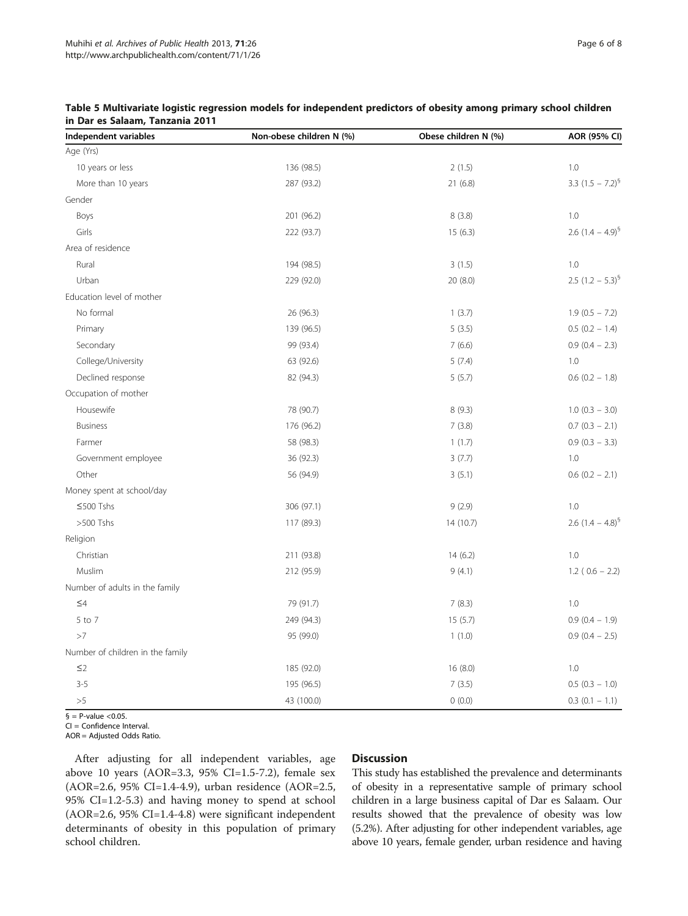| Independent variables            | Non-obese children N (%) | Obese children N (%) | AOR (95% CI)          |
|----------------------------------|--------------------------|----------------------|-----------------------|
| Age (Yrs)                        |                          |                      |                       |
| 10 years or less                 | 136 (98.5)               | 2(1.5)               | 1.0                   |
| More than 10 years               | 287 (93.2)               | 21(6.8)              | 3.3 $(1.5 - 7.2)^{6}$ |
| Gender                           |                          |                      |                       |
| Boys                             | 201 (96.2)               | 8(3.8)               | 1.0                   |
| Girls                            | 222 (93.7)               | 15(6.3)              | 2.6 $(1.4 - 4.9)^{9}$ |
| Area of residence                |                          |                      |                       |
| Rural                            | 194 (98.5)               | 3(1.5)               | 1.0                   |
| Urban                            | 229 (92.0)               | 20(8.0)              | 2.5 $(1.2 - 5.3)^{9}$ |
| Education level of mother        |                          |                      |                       |
| No formal                        | 26 (96.3)                | 1(3.7)               | $1.9(0.5 - 7.2)$      |
| Primary                          | 139 (96.5)               | 5(3.5)               | $0.5(0.2 - 1.4)$      |
| Secondary                        | 99 (93.4)                | 7(6.6)               | $0.9(0.4 - 2.3)$      |
| College/University               | 63 (92.6)                | 5(7.4)               | 1.0                   |
| Declined response                | 82 (94.3)                | 5(5.7)               | $0.6$ (0.2 - 1.8)     |
| Occupation of mother             |                          |                      |                       |
| Housewife                        | 78 (90.7)                | 8(9.3)               | $1.0$ (0.3 - 3.0)     |
| <b>Business</b>                  | 176 (96.2)               | 7(3.8)               | $0.7$ $(0.3 - 2.1)$   |
| Farmer                           | 58 (98.3)                | 1(1.7)               | $0.9$ (0.3 - 3.3)     |
| Government employee              | 36 (92.3)                | 3(7.7)               | 1.0                   |
| Other                            | 56 (94.9)                | 3(5.1)               | $0.6$ $(0.2 - 2.1)$   |
| Money spent at school/day        |                          |                      |                       |
| ≤500 Tshs                        | 306 (97.1)               | 9(2.9)               | 1.0                   |
| >500 Tshs                        | 117 (89.3)               | 14(10.7)             | 2.6 $(1.4 - 4.8)^{9}$ |
| Religion                         |                          |                      |                       |
| Christian                        | 211 (93.8)               | 14(6.2)              | 1.0                   |
| Muslim                           | 212 (95.9)               | 9(4.1)               | $1.2$ ( $0.6 - 2.2$ ) |
| Number of adults in the family   |                          |                      |                       |
| $\leq 4$                         | 79 (91.7)                | 7(8.3)               | 1.0                   |
| 5 to 7                           | 249 (94.3)               | 15(5.7)              | $0.9(0.4 - 1.9)$      |
| >7                               | 95 (99.0)                | 1(1.0)               | $0.9$ (0.4 - 2.5)     |
| Number of children in the family |                          |                      |                       |
| $\leq$ 2                         | 185 (92.0)               | 16(8.0)              | 1.0                   |
| $3 - 5$                          | 195 (96.5)               | 7(3.5)               | $0.5(0.3 - 1.0)$      |
| >5                               | 43 (100.0)               | 0(0.0)               | $0.3$ (0.1 - 1.1)     |

## <span id="page-5-0"></span>Table 5 Multivariate logistic regression models for independent predictors of obesity among primary school children in Dar es Salaam, Tanzania 2011

 $\sqrt{9}$  = P-value < 0.05.

CI = Confidence Interval.

AOR = Adjusted Odds Ratio.

After adjusting for all independent variables, age above 10 years (AOR=3.3, 95% CI=1.5-7.2), female sex (AOR=2.6, 95% CI=1.4-4.9), urban residence (AOR=2.5, 95% CI=1.2-5.3) and having money to spend at school (AOR=2.6, 95% CI=1.4-4.8) were significant independent determinants of obesity in this population of primary school children.

## Discussion

This study has established the prevalence and determinants of obesity in a representative sample of primary school children in a large business capital of Dar es Salaam. Our results showed that the prevalence of obesity was low (5.2%). After adjusting for other independent variables, age above 10 years, female gender, urban residence and having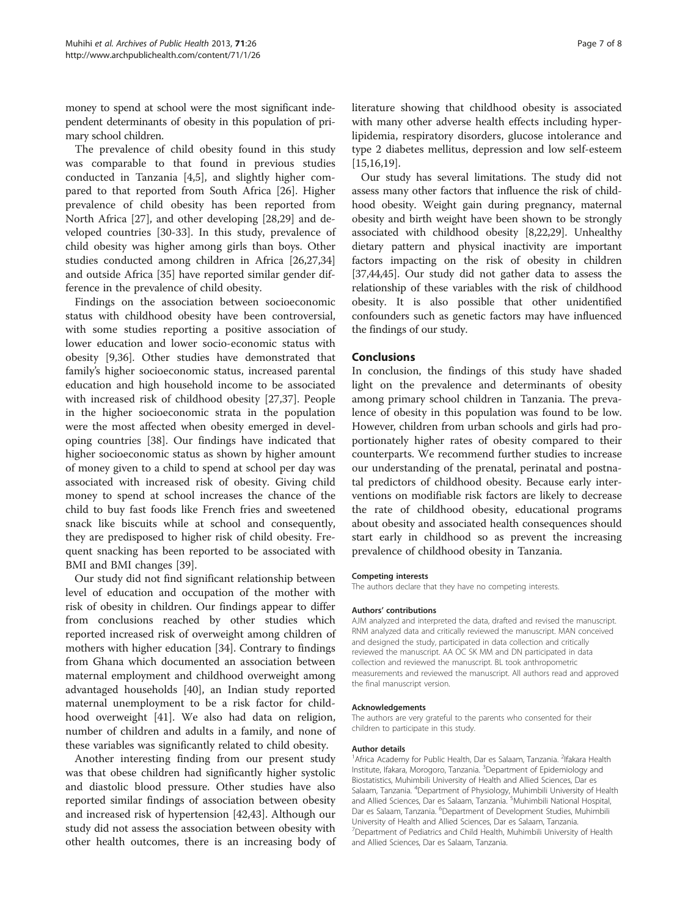money to spend at school were the most significant independent determinants of obesity in this population of primary school children.

The prevalence of child obesity found in this study was comparable to that found in previous studies conducted in Tanzania [\[4,5\]](#page-7-0), and slightly higher compared to that reported from South Africa [[26](#page-7-0)]. Higher prevalence of child obesity has been reported from North Africa [[27](#page-7-0)], and other developing [\[28,29\]](#page-7-0) and developed countries [[30-33\]](#page-7-0). In this study, prevalence of child obesity was higher among girls than boys. Other studies conducted among children in Africa [[26](#page-7-0),[27](#page-7-0),[34](#page-7-0)] and outside Africa [[35\]](#page-7-0) have reported similar gender difference in the prevalence of child obesity.

Findings on the association between socioeconomic status with childhood obesity have been controversial, with some studies reporting a positive association of lower education and lower socio-economic status with obesity [[9](#page-7-0),[36](#page-7-0)]. Other studies have demonstrated that family's higher socioeconomic status, increased parental education and high household income to be associated with increased risk of childhood obesity [\[27,37](#page-7-0)]. People in the higher socioeconomic strata in the population were the most affected when obesity emerged in developing countries [\[38](#page-7-0)]. Our findings have indicated that higher socioeconomic status as shown by higher amount of money given to a child to spend at school per day was associated with increased risk of obesity. Giving child money to spend at school increases the chance of the child to buy fast foods like French fries and sweetened snack like biscuits while at school and consequently, they are predisposed to higher risk of child obesity. Frequent snacking has been reported to be associated with BMI and BMI changes [\[39](#page-7-0)].

Our study did not find significant relationship between level of education and occupation of the mother with risk of obesity in children. Our findings appear to differ from conclusions reached by other studies which reported increased risk of overweight among children of mothers with higher education [\[34](#page-7-0)]. Contrary to findings from Ghana which documented an association between maternal employment and childhood overweight among advantaged households [[40\]](#page-7-0), an Indian study reported maternal unemployment to be a risk factor for childhood overweight [\[41](#page-7-0)]. We also had data on religion, number of children and adults in a family, and none of these variables was significantly related to child obesity.

Another interesting finding from our present study was that obese children had significantly higher systolic and diastolic blood pressure. Other studies have also reported similar findings of association between obesity and increased risk of hypertension [[42,43](#page-7-0)]. Although our study did not assess the association between obesity with other health outcomes, there is an increasing body of literature showing that childhood obesity is associated with many other adverse health effects including hyperlipidemia, respiratory disorders, glucose intolerance and type 2 diabetes mellitus, depression and low self-esteem [[15,16,19\]](#page-7-0).

Our study has several limitations. The study did not assess many other factors that influence the risk of childhood obesity. Weight gain during pregnancy, maternal obesity and birth weight have been shown to be strongly associated with childhood obesity [[8,22,29\]](#page-7-0). Unhealthy dietary pattern and physical inactivity are important factors impacting on the risk of obesity in children [[37](#page-7-0),[44,45\]](#page-7-0). Our study did not gather data to assess the relationship of these variables with the risk of childhood obesity. It is also possible that other unidentified confounders such as genetic factors may have influenced the findings of our study.

#### **Conclusions**

In conclusion, the findings of this study have shaded light on the prevalence and determinants of obesity among primary school children in Tanzania. The prevalence of obesity in this population was found to be low. However, children from urban schools and girls had proportionately higher rates of obesity compared to their counterparts. We recommend further studies to increase our understanding of the prenatal, perinatal and postnatal predictors of childhood obesity. Because early interventions on modifiable risk factors are likely to decrease the rate of childhood obesity, educational programs about obesity and associated health consequences should start early in childhood so as prevent the increasing prevalence of childhood obesity in Tanzania.

#### Competing interests

The authors declare that they have no competing interests.

#### Authors' contributions

AJM analyzed and interpreted the data, drafted and revised the manuscript. RNM analyzed data and critically reviewed the manuscript. MAN conceived and designed the study, participated in data collection and critically reviewed the manuscript. AA OC SK MM and DN participated in data collection and reviewed the manuscript. BL took anthropometric measurements and reviewed the manuscript. All authors read and approved the final manuscript version.

#### Acknowledgements

The authors are very grateful to the parents who consented for their children to participate in this study.

#### Author details

<sup>1</sup> Africa Academy for Public Health, Dar es Salaam, Tanzania. <sup>2</sup>Ifakara Health Institute, Ifakara, Morogoro, Tanzania. <sup>3</sup>Department of Epidemiology and Biostatistics, Muhimbili University of Health and Allied Sciences, Dar es Salaam, Tanzania. <sup>4</sup>Department of Physiology, Muhimbili University of Health and Allied Sciences, Dar es Salaam, Tanzania. <sup>5</sup>Muhimbili National Hospital Dar es Salaam, Tanzania. <sup>6</sup>Department of Development Studies, Muhimbili University of Health and Allied Sciences, Dar es Salaam, Tanzania. 7 Department of Pediatrics and Child Health, Muhimbili University of Health and Allied Sciences, Dar es Salaam, Tanzania.